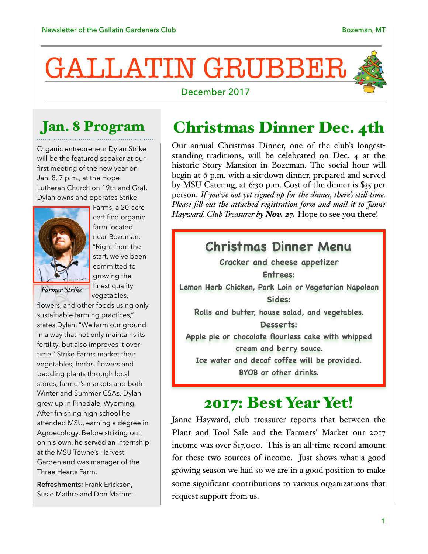# GALLATIN GRUBBER

#### December 2017



#### Jan. 8 Program

Organic entrepreneur Dylan Strike will be the featured speaker at our first meeting of the new year on Jan. 8, 7 p.m., at the Hope Lutheran Church on 19th and Graf. Dylan owns and operates Strike



Farms, a 20-acre certified organic farm located near Bozeman. "Right from the start, we've been committed to growing the finest quality vegetables,

*Farmer Strike*

flowers, and other foods using only sustainable farming practices," states Dylan. "We farm our ground in a way that not only maintains its fertility, but also improves it over time." Strike Farms market their vegetables, herbs, flowers and bedding plants through local stores, farmer's markets and both Winter and Summer CSAs. Dylan grew up in Pinedale, Wyoming. After finishing high school he attended MSU, earning a degree in Agroecology. Before striking out on his own, he served an internship at the MSU Towne's Harvest Garden and was manager of the Three Hearts Farm.

**Refreshments:** Frank Erickson, Susie Mathre and Don Mathre.

#### Christmas Dinner Dec. 4th

Our annual Christmas Dinner, one of the club's longeststanding traditions, will be celebrated on Dec. 4 at the historic Story Mansion in Bozeman. The social hour will begin at 6 p.m. with a sit-down dinner, prepared and served by MSU Catering, at 6:30 p.m. Cost of the dinner is \$35 per person. *If you've not yet signed up for the dinner, there's stil time. Please fil out the attached registration form and mail it to Janne Hayward, Club Treasurer by Nov. 27.* Hope to see you there!

#### **Christmas Dinner Menu**

**Cracker and cheese appetizer Entrees: Lemon Herb Chicken, Pork Loin or Vegetarian Napoleon Sides: Rolls and butter, house salad, and vegetables. Desserts: Apple pie or chocolate flourless cake with whipped cream and berry sauce.** 

**Ice water and decaf coffee will be provided.** 

**BYOB or other drinks.**

#### 2017: Best Year Yet!

Janne Hayward, club treasurer reports that between the Plant and Tool Sale and the Farmers' Market our 2017 income was over \$17,000. This is an all-time record amount for these two sources of income. Just shows what a good growing season we had so we are in a good position to make some significant contributions to various organizations that request support from us.